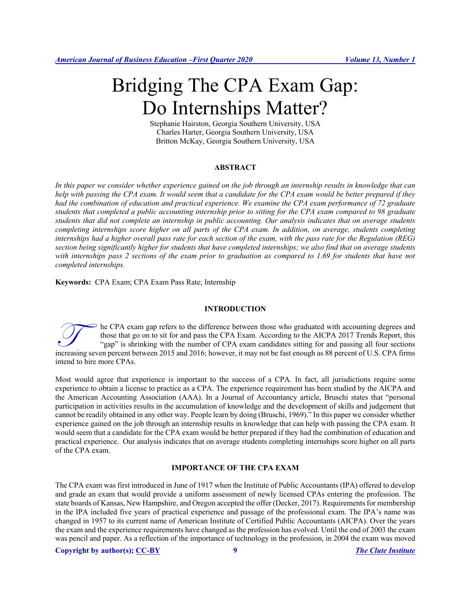# Bridging The CPA Exam Gap: Do Internships Matter?

Stephanie Hairston, Georgia Southern University, USA Charles Harter, Georgia Southern University, USA Britton McKay, Georgia Southern University, USA

# **ABSTRACT**

In this paper we consider whether experience gained on the job through an internship results in knowledge that can *help with passing the CPA exam. It would seem that a candidate for the CPA exam would be better prepared if they had the combination of education and practical experience. We examine the CPA exam performance of 72 graduate students that completed a public accounting internship prior to sitting for the CPA exam compared to 98 graduate students that did not complete an internship in public accounting. Our analysis indicates that on average students completing internships score higher on all parts of the CPA exam. In addition, on average, students completing internships had a higher overall pass rate for each section of the exam, with the pass rate for the Regulation (REG) section being significantly higher for students that have completed internships; we also find that on average students*  with internships pass 2 sections of the exam prior to graduation as compared to 1.69 for students that have not *completed internships.*

**Keywords:** CPA Exam; CPA Exam Pass Rate; Internship

# **INTRODUCTION**

he CPA exam gap refers to the difference between those who graduated with accounting degrees and those that go on to sit for and pass the CPA Exam. According to the AICPA 2017 Trends Report, this "gap" is shrinking with the number of CPA exam candidates sitting for and passing all four sections Increasing seven percent between 2015 and 2016; however, it may not be fast enough as 88 percent of U.S. CPA firms through as 88 percent of U.S. CPA firms and passing all four sections increasing seven percent between 2015 intend to hire more CPAs.

Most would agree that experience is important to the success of a CPA. In fact, all jurisdictions require some experience to obtain a license to practice as a CPA. The experience requirement has been studied by the AICPA and the American Accounting Association (AAA). In a Journal of Accountancy article, Bruschi states that "personal participation in activities results in the accumulation of knowledge and the development of skills and judgement that cannot be readily obtained in any other way. People learn by doing (Bruschi, 1969)." In this paper we consider whether experience gained on the job through an internship results in knowledge that can help with passing the CPA exam. It would seem that a candidate for the CPA exam would be better prepared if they had the combination of education and practical experience. Our analysis indicates that on average students completing internships score higher on all parts of the CPA exam.

# **IMPORTANCE OF THE CPA EXAM**

The CPA exam was first introduced in June of 1917 when the Institute of Public Accountants (IPA) offered to develop and grade an exam that would provide a uniform assessment of newly licensed CPAs entering the profession. The state boards of Kansas, New Hampshire, and Oregon accepted the offer (Decker, 2017). Requirements for membership in the IPA included five years of practical experience and passage of the professional exam. The IPA's name was changed in 1957 to its current name of American Institute of Certified Public Accountants (AICPA). Over the years the exam and the experience requirements have changed as the profession has evolved. Until the end of 2003 the exam was pencil and paper. As a reflection of the importance of technology in the profession, in 2004 the exam was moved

**Copyright by author(s); CC-BY 9** *The Clute Institute*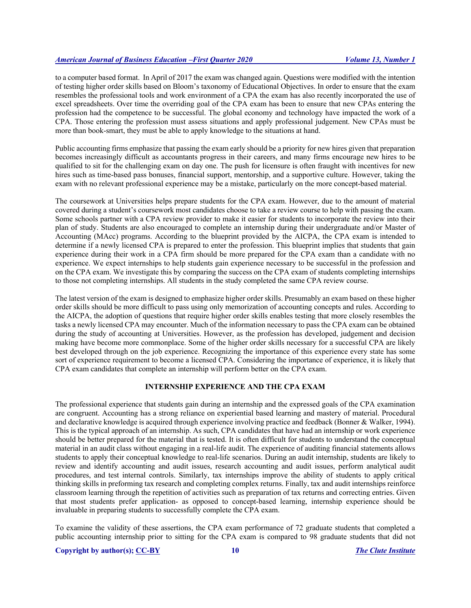to a computer based format. In April of 2017 the exam was changed again. Questions were modified with the intention of testing higher order skills based on Bloom's taxonomy of Educational Objectives. In order to ensure that the exam resembles the professional tools and work environment of a CPA the exam has also recently incorporated the use of excel spreadsheets. Over time the overriding goal of the CPA exam has been to ensure that new CPAs entering the profession had the competence to be successful. The global economy and technology have impacted the work of a CPA. Those entering the profession must assess situations and apply professional judgement. New CPAs must be more than book-smart, they must be able to apply knowledge to the situations at hand.

Public accounting firms emphasize that passing the exam early should be a priority for new hires given that preparation becomes increasingly difficult as accountants progress in their careers, and many firms encourage new hires to be qualified to sit for the challenging exam on day one. The push for licensure is often fraught with incentives for new hires such as time-based pass bonuses, financial support, mentorship, and a supportive culture. However, taking the exam with no relevant professional experience may be a mistake, particularly on the more concept-based material.

The coursework at Universities helps prepare students for the CPA exam. However, due to the amount of material covered during a student's coursework most candidates choose to take a review course to help with passing the exam. Some schools partner with a CPA review provider to make it easier for students to incorporate the review into their plan of study. Students are also encouraged to complete an internship during their undergraduate and/or Master of Accounting (MAcc) programs. According to the blueprint provided by the AICPA, the CPA exam is intended to determine if a newly licensed CPA is prepared to enter the profession. This blueprint implies that students that gain experience during their work in a CPA firm should be more prepared for the CPA exam than a candidate with no experience. We expect internships to help students gain experience necessary to be successful in the profession and on the CPA exam. We investigate this by comparing the success on the CPA exam of students completing internships to those not completing internships. All students in the study completed the same CPA review course.

The latest version of the exam is designed to emphasize higher order skills. Presumably an exam based on these higher order skills should be more difficult to pass using only memorization of accounting concepts and rules. According to the AICPA, the adoption of questions that require higher order skills enables testing that more closely resembles the tasks a newly licensed CPA may encounter. Much of the information necessary to pass the CPA exam can be obtained during the study of accounting at Universities. However, as the profession has developed, judgement and decision making have become more commonplace. Some of the higher order skills necessary for a successful CPA are likely best developed through on the job experience. Recognizing the importance of this experience every state has some sort of experience requirement to become a licensed CPA. Considering the importance of experience, it is likely that CPA exam candidates that complete an internship will perform better on the CPA exam.

# **INTERNSHIP EXPERIENCE AND THE CPA EXAM**

The professional experience that students gain during an internship and the expressed goals of the CPA examination are congruent. Accounting has a strong reliance on experiential based learning and mastery of material. Procedural and declarative knowledge is acquired through experience involving practice and feedback (Bonner & Walker, 1994). This is the typical approach of an internship. As such, CPA candidates that have had an internship or work experience should be better prepared for the material that is tested. It is often difficult for students to understand the conceptual material in an audit class without engaging in a real-life audit. The experience of auditing financial statements allows students to apply their conceptual knowledge to real-life scenarios. During an audit internship, students are likely to review and identify accounting and audit issues, research accounting and audit issues, perform analytical audit procedures, and test internal controls. Similarly, tax internships improve the ability of students to apply critical thinking skills in preforming tax research and completing complex returns. Finally, tax and audit internships reinforce classroom learning through the repetition of activities such as preparation of tax returns and correcting entries. Given that most students prefer application- as opposed to concept-based learning, internship experience should be invaluable in preparing students to successfully complete the CPA exam.

To examine the validity of these assertions, the CPA exam performance of 72 graduate students that completed a public accounting internship prior to sitting for the CPA exam is compared to 98 graduate students that did not

**Copyright by author(s); CC-BY 10** *The Clute Institute*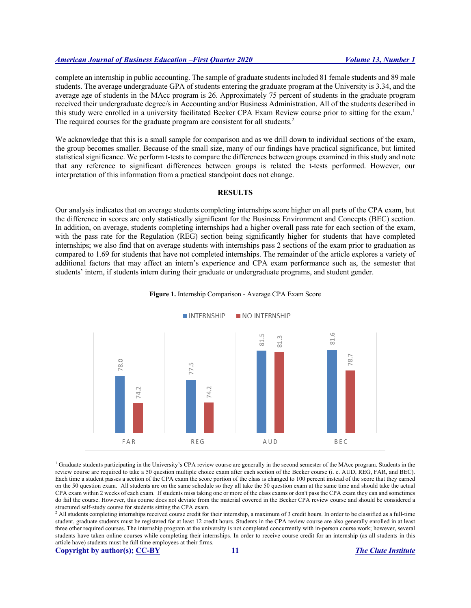complete an internship in public accounting. The sample of graduate students included 81 female students and 89 male students. The average undergraduate GPA of students entering the graduate program at the University is 3.34, and the average age of students in the MAcc program is 26. Approximately 75 percent of students in the graduate program received their undergraduate degree/s in Accounting and/or Business Administration. All of the students described in this study were enrolled in a university facilitated Becker CPA Exam Review course prior to sitting for the exam.<sup>1</sup> The required courses for the graduate program are consistent for all students.<sup>2</sup>

We acknowledge that this is a small sample for comparison and as we drill down to individual sections of the exam, the group becomes smaller. Because of the small size, many of our findings have practical significance, but limited statistical significance. We perform t-tests to compare the differences between groups examined in this study and note that any reference to significant differences between groups is related the t-tests performed. However, our interpretation of this information from a practical standpoint does not change.

#### **RESULTS**

Our analysis indicates that on average students completing internships score higher on all parts of the CPA exam, but the difference in scores are only statistically significant for the Business Environment and Concepts (BEC) section. In addition, on average, students completing internships had a higher overall pass rate for each section of the exam, with the pass rate for the Regulation (REG) section being significantly higher for students that have completed internships; we also find that on average students with internships pass 2 sections of the exam prior to graduation as compared to 1.69 for students that have not completed internships. The remainder of the article explores a variety of additional factors that may affect an intern's experience and CPA exam performance such as, the semester that students' intern, if students intern during their graduate or undergraduate programs, and student gender.



#### **Figure 1.** Internship Comparison - Average CPA Exam Score

<sup>1</sup> Graduate students participating in the University's CPA review course are generally in the second semester of the MAcc program. Students in the review course are required to take a 50 question multiple choice exam after each section of the Becker course (i. e. AUD, REG, FAR, and BEC). Each time a student passes a section of the CPA exam the score portion of the class is changed to 100 percent instead of the score that they earned on the 50 question exam. All students are on the same schedule so they all take the 50 question exam at the same time and should take the actual CPA exam within 2 weeks of each exam. If students miss taking one or more of the class exams or don't pass the CPA exam they can and sometimes do fail the course. However, this course does not deviate from the material covered in the Becker CPA review course and should be considered a structured self-study course for students sitting the CPA exam.

<sup>2</sup> All students completing internships received course credit for their internship, a maximum of 3 credit hours. In order to be classified as a full-time student, graduate students must be registered for at least 12 credit hours. Students in the CPA review course are also generally enrolled in at least three other required courses. The internship program at the university is not completed concurrently with in-person course work; however, several students have taken online courses while completing their internships. In order to receive course credit for an internship (as all students in this article have) students must be full time employees at their firms.

**Copyright by author(s); CC-BY 11** *The Clute Institute*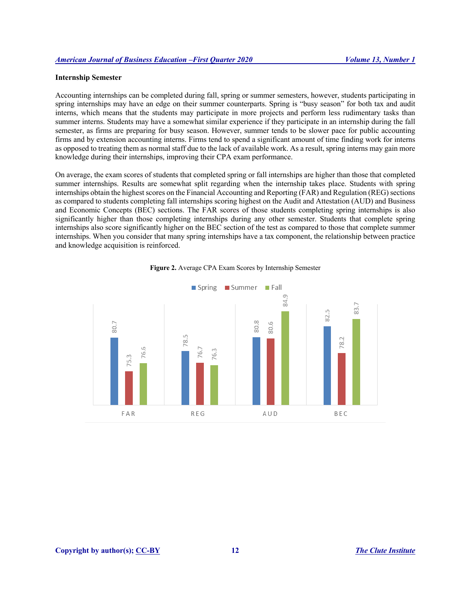## **Internship Semester**

Accounting internships can be completed during fall, spring or summer semesters, however, students participating in spring internships may have an edge on their summer counterparts. Spring is "busy season" for both tax and audit interns, which means that the students may participate in more projects and perform less rudimentary tasks than summer interns. Students may have a somewhat similar experience if they participate in an internship during the fall semester, as firms are preparing for busy season. However, summer tends to be slower pace for public accounting firms and by extension accounting interns. Firms tend to spend a significant amount of time finding work for interns as opposed to treating them as normal staff due to the lack of available work. As a result, spring interns may gain more knowledge during their internships, improving their CPA exam performance.

On average, the exam scores of students that completed spring or fall internships are higher than those that completed summer internships. Results are somewhat split regarding when the internship takes place. Students with spring internships obtain the highest scores on the Financial Accounting and Reporting (FAR) and Regulation (REG) sections as compared to students completing fall internships scoring highest on the Audit and Attestation (AUD) and Business and Economic Concepts (BEC) sections. The FAR scores of those students completing spring internships is also significantly higher than those completing internships during any other semester. Students that complete spring internships also score significantly higher on the BEC section of the test as compared to those that complete summer internships. When you consider that many spring internships have a tax component, the relationship between practice and knowledge acquisition is reinforced.



**Figure 2.** Average CPA Exam Scores by Internship Semester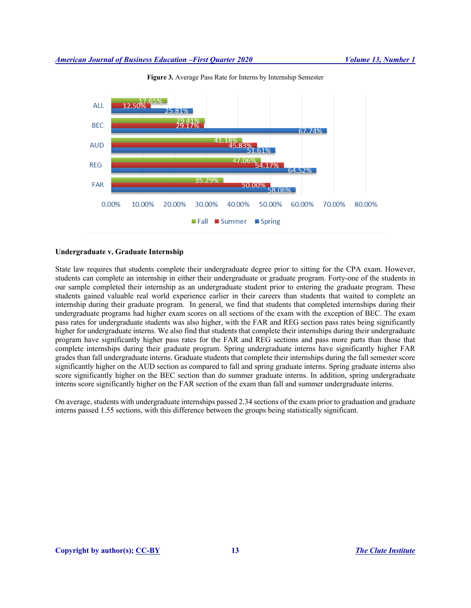

**Figure 3.** Average Pass Rate for Interns by Internship Semester

#### **Undergraduate v. Graduate Internship**

State law requires that students complete their undergraduate degree prior to sitting for the CPA exam. However, students can complete an internship in either their undergraduate or graduate program. Forty-one of the students in our sample completed their internship as an undergraduate student prior to entering the graduate program. These students gained valuable real world experience earlier in their careers than students that waited to complete an internship during their graduate program. In general, we find that students that completed internships during their undergraduate programs had higher exam scores on all sections of the exam with the exception of BEC. The exam pass rates for undergraduate students was also higher, with the FAR and REG section pass rates being significantly higher for undergraduate interns. We also find that students that complete their internships during their undergraduate program have significantly higher pass rates for the FAR and REG sections and pass more parts than those that complete internships during their graduate program. Spring undergraduate interns have significantly higher FAR grades than fall undergraduate interns. Graduate students that complete their internships during the fall semester score significantly higher on the AUD section as compared to fall and spring graduate interns. Spring graduate interns also score significantly higher on the BEC section than do summer graduate interns. In addition, spring undergraduate interns score significantly higher on the FAR section of the exam than fall and summer undergraduate interns.

On average, students with undergraduate internships passed 2.34 sections of the exam prior to graduation and graduate interns passed 1.55 sections, with this difference between the groups being statistically significant.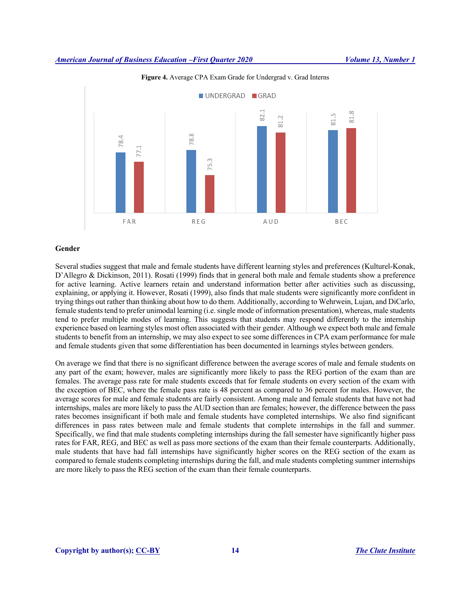

**Figure 4.** Average CPA Exam Grade for Undergrad v. Grad Interns

# **Gender**

Several studies suggest that male and female students have different learning styles and preferences (Kulturel-Konak, D'Allegro & Dickinson, 2011). Rosati (1999) finds that in general both male and female students show a preference for active learning. Active learners retain and understand information better after activities such as discussing, explaining, or applying it. However, Rosati (1999), also finds that male students were significantly more confident in trying things out rather than thinking about how to do them. Additionally, according to Wehrwein, Lujan, and DiCarlo, female students tend to prefer unimodal learning (i.e. single mode of information presentation), whereas, male students tend to prefer multiple modes of learning. This suggests that students may respond differently to the internship experience based on learning styles most often associated with their gender. Although we expect both male and female students to benefit from an internship, we may also expect to see some differences in CPA exam performance for male and female students given that some differentiation has been documented in learnings styles between genders.

On average we find that there is no significant difference between the average scores of male and female students on any part of the exam; however, males are significantly more likely to pass the REG portion of the exam than are females. The average pass rate for male students exceeds that for female students on every section of the exam with the exception of BEC, where the female pass rate is 48 percent as compared to 36 percent for males. However, the average scores for male and female students are fairly consistent. Among male and female students that have not had internships, males are more likely to pass the AUD section than are females; however, the difference between the pass rates becomes insignificant if both male and female students have completed internships. We also find significant differences in pass rates between male and female students that complete internships in the fall and summer. Specifically, we find that male students completing internships during the fall semester have significantly higher pass rates for FAR, REG, and BEC as well as pass more sections of the exam than their female counterparts. Additionally, male students that have had fall internships have significantly higher scores on the REG section of the exam as compared to female students completing internships during the fall, and male students completing summer internships are more likely to pass the REG section of the exam than their female counterparts.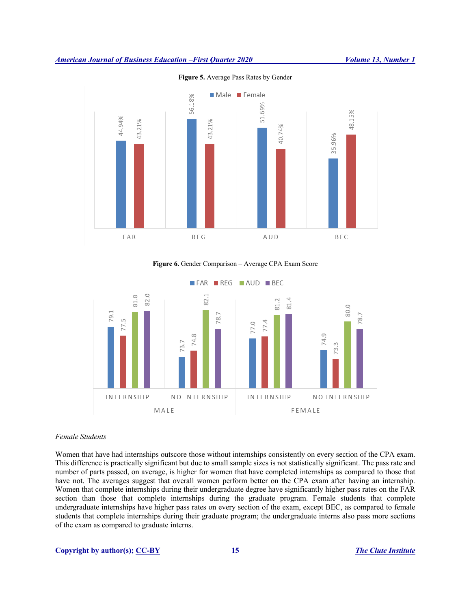

**Figure 5.** Average Pass Rates by Gender

# **Figure 6.** Gender Comparison – Average CPA Exam Score



# *Female Students*

Women that have had internships outscore those without internships consistently on every section of the CPA exam. This difference is practically significant but due to small sample sizes is not statistically significant. The pass rate and number of parts passed, on average, is higher for women that have completed internships as compared to those that have not. The averages suggest that overall women perform better on the CPA exam after having an internship. Women that complete internships during their undergraduate degree have significantly higher pass rates on the FAR section than those that complete internships during the graduate program. Female students that complete undergraduate internships have higher pass rates on every section of the exam, except BEC, as compared to female students that complete internships during their graduate program; the undergraduate interns also pass more sections of the exam as compared to graduate interns.

# **Copyright by author(s); CC-BY 15** *The Clute Institute*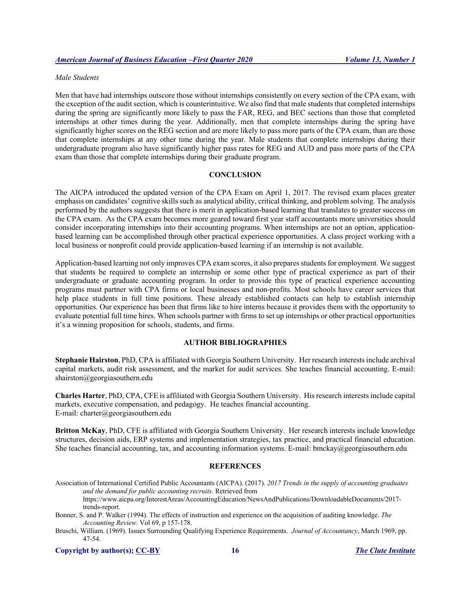# *Male Students*

Men that have had internships outscore those without internships consistently on every section of the CPA exam, with the exception of the audit section, which is counterintuitive. We also find that male students that completed internships during the spring are significantly more likely to pass the FAR, REG, and BEC sections than those that completed internships at other times during the year. Additionally, men that complete internships during the spring have significantly higher scores on the REG section and are more likely to pass more parts of the CPA exam, than are those that complete internships at any other time during the year. Male students that complete internships during their undergraduate program also have significantly higher pass rates for REG and AUD and pass more parts of the CPA exam than those that complete internships during their graduate program.

# **CONCLUSION**

The AICPA introduced the updated version of the CPA Exam on April 1, 2017. The revised exam places greater emphasis on candidates' cognitive skills such as analytical ability, critical thinking, and problem solving. The analysis performed by the authors suggests that there is merit in application-based learning that translates to greater success on the CPA exam. As the CPA exam becomes more geared toward first year staff accountants more universities should consider incorporating internships into their accounting programs. When internships are not an option, applicationbased learning can be accomplished through other practical experience opportunities. A class project working with a local business or nonprofit could provide application-based learning if an internship is not available.

Application-based learning not only improves CPA exam scores, it also prepares students for employment. We suggest that students be required to complete an internship or some other type of practical experience as part of their undergraduate or graduate accounting program. In order to provide this type of practical experience accounting programs must partner with CPA firms or local businesses and non-profits. Most schools have career services that help place students in full time positions. These already established contacts can help to establish internship opportunities. Our experience has been that firms like to hire interns because it provides them with the opportunity to evaluate potential full time hires. When schools partner with firms to set up internships or other practical opportunities it's a winning proposition for schools, students, and firms.

# **AUTHOR BIBLIOGRAPHIES**

**Stephanie Hairston**, PhD, CPA is affiliated with Georgia Southern University. Her research interests include archival capital markets, audit risk assessment, and the market for audit services. She teaches financial accounting. E-mail: shairston@georgiasouthern.edu

**Charles Harter**, PhD, CPA, CFE is affiliated with Georgia Southern University. His research interests include capital markets, executive compensation, and pedagogy. He teaches financial accounting. E-mail: charter@georgiasouthern.edu

**Britton McKay**, PhD, CFE is affiliated with Georgia Southern University. Her research interests include knowledge structures, decision aids, ERP systems and implementation strategies, tax practice, and practical financial education. She teaches financial accounting, tax, and accounting information systems. E-mail: bmckay@georgiasouthern.edu

#### **REFERENCES**

Association of International Certified Public Accountants (AICPA). (2017). *2017 Trends in the supply of accounting graduates and the demand for public accounting recruits.* Retrieved from https://www.aicpa.org/InterestAreas/AccountingEducation/NewsAndPublications/DownloadableDocuments/2017-

trends-report.

Bonner, S. and P. Walker (1994). The effects of instruction and experience on the acquisition of auditing knowledge. *The Accounting Review*. Vol 69, p 157-178.

Bruschi, William. (1969). Issues Surrounding Qualifying Experience Requirements. *Journal of Accountancy*, March 1969, pp. 47-54.

**Copyright by author(s); CC-BY 16** *The Clute Institute*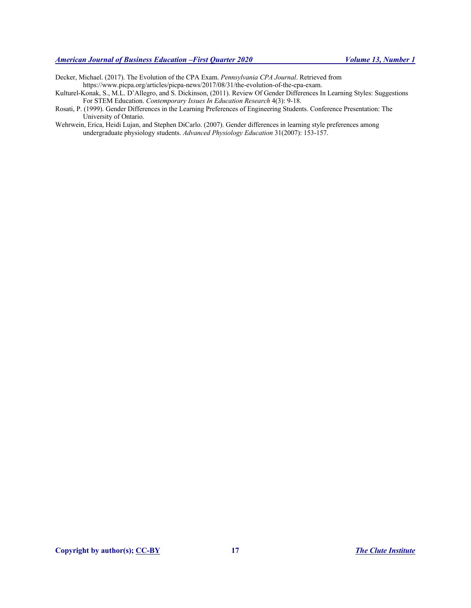- Decker, Michael. (2017). The Evolution of the CPA Exam. *Pennsylvania CPA Journal*. Retrieved from https://www.picpa.org/articles/picpa-news/2017/08/31/the-evolution-of-the-cpa-exam.
- Kulturel-Konak, S., M.L. D'Allegro, and S. Dickinson, (2011). Review Of Gender Differences In Learning Styles: Suggestions For STEM Education. *Contemporary Issues In Education Research* 4(3): 9-18.
- Rosati, P. (1999). Gender Differences in the Learning Preferences of Engineering Students. Conference Presentation: The University of Ontario.
- Wehrwein, Erica, Heidi Lujan, and Stephen DiCarlo. (2007). Gender differences in learning style preferences among undergraduate physiology students. *Advanced Physiology Education* 31(2007): 153-157.